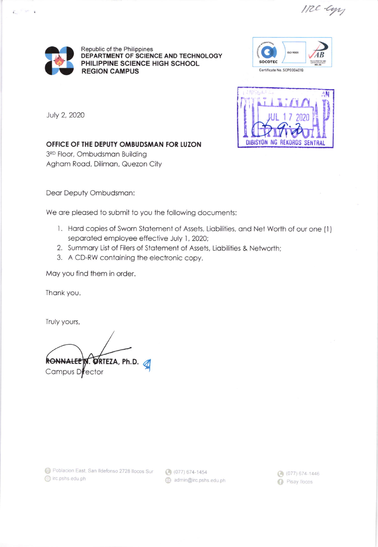IRE-Cyr



 $\sim$   $\sim$   $\sim$ E.

> Republic of the Philippines DEPARTMENT OF SCIENCE AND TECHNOLOGY PHILIPPINE SCIENCE HIGH SCHOOL **REGION CAMPUS**





July 2, 2020

OFFICE OF THE DEPUTY OMBUDSMAN FOR LUZON

3RD Floor, Ombudsman Building Agham Road, Diliman, Quezon City

Dear Deputy Ombudsman:

We are pleased to submit to you the following documents:

- 1. Hard copies of Sworn Statement of Assets, Liabilities, and Net Worth of our one (1) separated employee effective July 1, 2020;
- 2. Summary List of Filers of Statement of Assets, Liabilities & Networth;
- 3. A CD-RW containing the electronic copy.

May you find them in order.

Thank you.

Truly yours,

**RONNALEE** M. ORTEZA, Ph.D. Campus Director

admin@irc.pshs.edu.ph

 $(077) 674 - 1446$ **D** Pisay Ilocos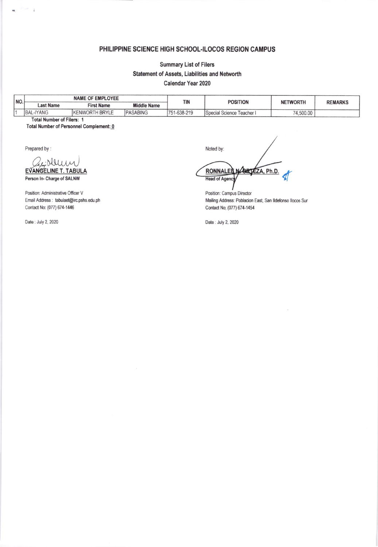## PHILIPPINE SCIENCE HIGH SCHOOL-ILOCOS REGION CAMPUS

## **Summary List of Filers** Statement of Assets, Liabilities and Networth Calendar Year 2020

NAME OF EMPLOYEE NO. TIN **POSITION NETWORTH REMARKS Last Name Middle Name First Name BAL-IYANG** KENWORTH BRYLE PASABING 751-638-219  $\overline{1}$ Special Science Teacher I 74,500.00 **Total Number of Filers: 1** 

Total Number of Personnel Complement: 0

Prepared by:

 $\mathbf{u}$ 

 $\tilde{t}$ 

EVANGELINE T. TABULA

Person In- Charge of SALNW

Position: Administrative Officer V Email Address : tabulaet@irc.pshs.edu.ph Contact No: (077) 674-1446

Date: July 2, 2020

Noted by: **BRTEZA, Ph.D.** RONNALER **Head of Ageno** 

Position: Campus Director Mailing Address: Poblacion East, San Ildefonso Ilocos Sur Contact No; (077) 674-1454

Date: July 2, 2020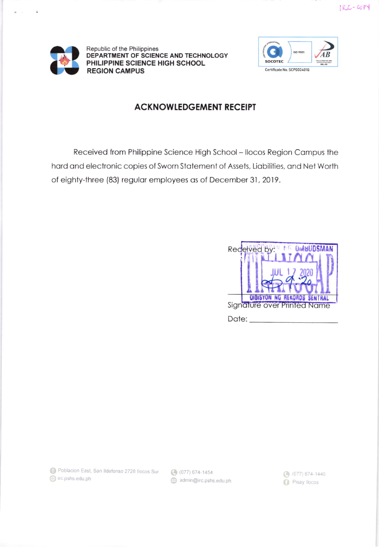

 $\overline{\bullet}$ 

Republic of the Philippines DEPARTMENT OF SCIENCE AND TECHNOLOGY PHILIPPINE SCIENCE HIGH SCHOOL **REGION CAMPUS** 



## **ACKNOWLEDGEMENT RECEIPT**

Received from Philippine Science High School - Ilocos Region Campus the hard and electronic copies of Sworn Statement of Assets, Liabilities, and Net Worth of eighty-three (83) regular employees as of December 31, 2019.

|                                                                   | Received by:<br>MG OMBUDSMAN |
|-------------------------------------------------------------------|------------------------------|
|                                                                   |                              |
|                                                                   |                              |
| <b>DIBISYON NG REKORDS SENTRAL</b><br>Signature over Printed Name |                              |
| Date:                                                             |                              |

Poblacion East, San Ildefonso 2728 Ilocos Sur (3) (077) 674-1454 lirc.pshs.edu.ph

admin@irc.pshs.edu.ph